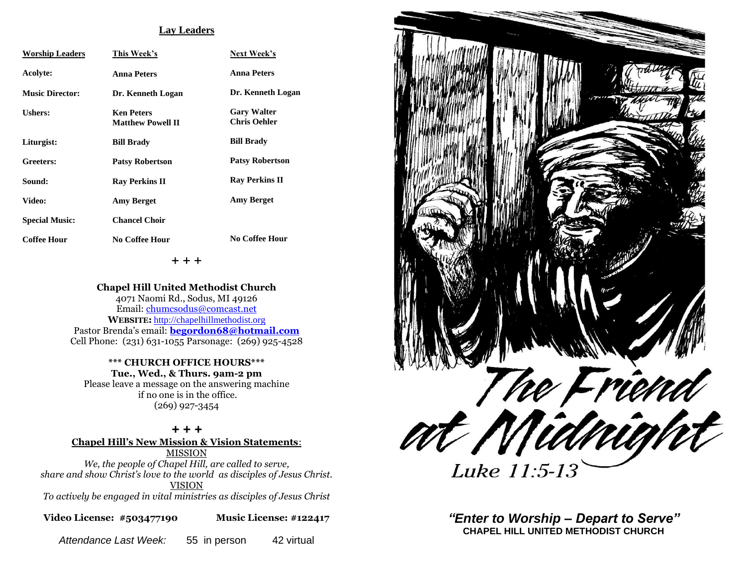### **Lay Leaders**

| <b>Worship Leaders</b> | This Week's                                   | Next Week's                               |
|------------------------|-----------------------------------------------|-------------------------------------------|
| Acolyte:               | <b>Anna Peters</b>                            | <b>Anna Peters</b>                        |
| <b>Music Director:</b> | Dr. Kenneth Logan                             | Dr. Kenneth Logan                         |
| Ushers:                | <b>Ken Peters</b><br><b>Matthew Powell II</b> | <b>Gary Walter</b><br><b>Chris Oehler</b> |
| Liturgist:             | <b>Bill Brady</b>                             | <b>Bill Brady</b>                         |
| Greeters:              | <b>Patsy Robertson</b>                        | <b>Patsy Robertson</b>                    |
| Sound:                 | <b>Ray Perkins II</b>                         | <b>Ray Perkins II</b>                     |
| Video:                 | <b>Amy Berget</b>                             | <b>Amy Berget</b>                         |
| <b>Special Music:</b>  | <b>Chancel Choir</b>                          |                                           |
| <b>Coffee Hour</b>     | No Coffee Hour                                | No Coffee Hour                            |

+ + +

**Chapel Hill United Methodist Church** 4071 Naomi Rd., Sodus, MI 49126 Email: [chumcsodus@comcast.net](mailto:chumcsodus@comcast.net) **WEBSITE:** [http://chapelhillmethodist.org](http://chapelhillmethodist.org/) Pastor Brenda's email: **[begordon68@hotmail.com](mailto:begordon68@hotmail.com)** Cell Phone: (231) 631-1055 Parsonage: (269) 925-4528

**\*\*\* CHURCH OFFICE HOURS\*\*\* Tue., Wed., & Thurs. 9am-2 pm** Please leave a message on the answering machine if no one is in the office.

(269) 927-3454

### *+ + +*

**Chapel Hill's New Mission & Vision Statements**:

MISSION *We, the people of Chapel Hill, are called to serve, share and show Christ's love to the world as disciples of Jesus Christ.* VISION

*To actively be engaged in vital ministries as disciples of Jesus Christ*

**Video License: #503477190 Music License: #122417**

*Attendance Last Week:* 55 in person 42 virtual



*"Enter to Worship – Depart to Serve"* **CHAPEL HILL UNITED METHODIST CHURCH**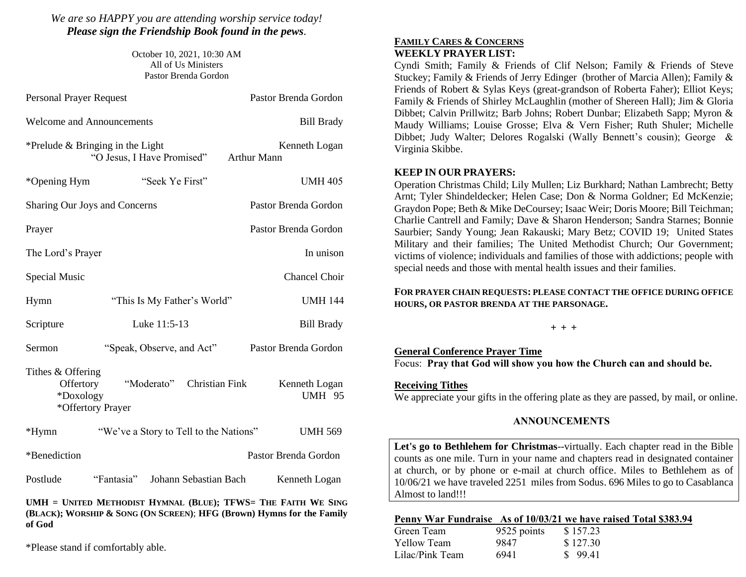*We are so HAPPY you are attending worship service today! Please sign the Friendship Book found in the pews.*

> October 10, 2021, 10:30 AM All of Us Ministers Pastor Brenda Gordon

| <b>Personal Prayer Request</b>                                                                                                  |                                        | Pastor Brenda Gordon                |  |  |
|---------------------------------------------------------------------------------------------------------------------------------|----------------------------------------|-------------------------------------|--|--|
|                                                                                                                                 | <b>Welcome and Announcements</b>       | <b>Bill Brady</b>                   |  |  |
| *Prelude $&$ Bringing in the Light<br>"O Jesus, I Have Promised"                                                                |                                        | Kenneth Logan<br><b>Arthur Mann</b> |  |  |
| *Opening Hym                                                                                                                    | "Seek Ye First"                        | <b>UMH 405</b>                      |  |  |
| Sharing Our Joys and Concerns                                                                                                   |                                        | Pastor Brenda Gordon                |  |  |
| Prayer                                                                                                                          |                                        | Pastor Brenda Gordon                |  |  |
| In unison<br>The Lord's Prayer                                                                                                  |                                        |                                     |  |  |
| <b>Special Music</b>                                                                                                            |                                        | <b>Chancel Choir</b>                |  |  |
| Hymn                                                                                                                            | "This Is My Father's World"            | <b>UMH 144</b>                      |  |  |
| Scripture                                                                                                                       | Luke 11:5-13                           | <b>Bill Brady</b>                   |  |  |
| Sermon                                                                                                                          | "Speak, Observe, and Act"              | Pastor Brenda Gordon                |  |  |
| Tithes & Offering<br>"Moderato" Christian Fink<br>Offertory<br>Kenneth Logan<br>*Doxology<br><b>UMH 95</b><br>*Offertory Prayer |                                        |                                     |  |  |
| $*Hymn$                                                                                                                         | "We've a Story to Tell to the Nations" | <b>UMH 569</b>                      |  |  |
| *Benediction                                                                                                                    |                                        | Pastor Brenda Gordon                |  |  |
| Postlude                                                                                                                        | "Fantasia" Johann Sebastian Bach       | Kenneth Logan                       |  |  |
| $\mathbf{I}\mathbf{I}\mathbf{M}\mathbf{H}$ = $\mathbf{I}\mathbf{I}$ Intern Methodist Hymnai (Rije); TEWS- The Faith We Sing     |                                        |                                     |  |  |

**UMH = UNITED METHODIST HYMNAL (BLUE); TFWS= THE FAITH WE SING (BLACK); WORSHIP & SONG (ON SCREEN)**; **HFG (Brown) Hymns for the Family of God** 

\*Please stand if comfortably able.

# **FAMILY CARES & CONCERNS WEEKLY PRAYER LIST:**

Cyndi Smith; Family & Friends of Clif Nelson; Family & Friends of Steve Stuckey; Family & Friends of Jerry Edinger (brother of Marcia Allen); Family & Friends of Robert & Sylas Keys (great-grandson of Roberta Faher); Elliot Keys; Family & Friends of Shirley McLaughlin (mother of Shereen Hall); Jim & Gloria Dibbet; Calvin Prillwitz; Barb Johns; Robert Dunbar; Elizabeth Sapp; Myron & Maudy Williams; Louise Grosse; Elva & Vern Fisher; Ruth Shuler; Michelle Dibbet; Judy Walter; Delores Rogalski (Wally Bennett's cousin); George & Virginia Skibbe.

## **KEEP IN OUR PRAYERS:**

Operation Christmas Child; Lily Mullen; Liz Burkhard; Nathan Lambrecht; Betty Arnt; Tyler Shindeldecker; Helen Case; Don & Norma Goldner; Ed McKenzie; Graydon Pope; Beth & Mike DeCoursey; Isaac Weir; Doris Moore; Bill Teichman; Charlie Cantrell and Family; Dave & Sharon Henderson; Sandra Starnes; Bonnie Saurbier; Sandy Young; Jean Rakauski; Mary Betz; COVID 19; United States Military and their families; The United Methodist Church; Our Government; victims of violence; individuals and families of those with addictions; people with special needs and those with mental health issues and their families.

## **FOR PRAYER CHAIN REQUESTS: PLEASE CONTACT THE OFFICE DURING OFFICE HOURS, OR PASTOR BRENDA AT THE PARSONAGE.**

**+ + +**

# **General Conference Prayer Time**

Focus: **Pray that God will show you how the Church can and should be.**

# **Receiving Tithes**

We appreciate your gifts in the offering plate as they are passed, by mail, or online.

## **ANNOUNCEMENTS**

**Let's go to Bethlehem for Christmas**--virtually. Each chapter read in the Bible counts as one mile. Turn in your name and chapters read in designated container at church, or by phone or e-mail at church office. Miles to Bethlehem as of 10/06/21 we have traveled 2251 miles from Sodus. 696 Miles to go to Casablanca Almost to land!!!

## **Penny War Fundraise As of 10/03/21 we have raised Total \$383.94**

| Green Team      | 9525 points | \$157.23 |
|-----------------|-------------|----------|
| Yellow Team     | 9847        | \$127.30 |
| Lilac/Pink Team | 6941        | \$99.41  |